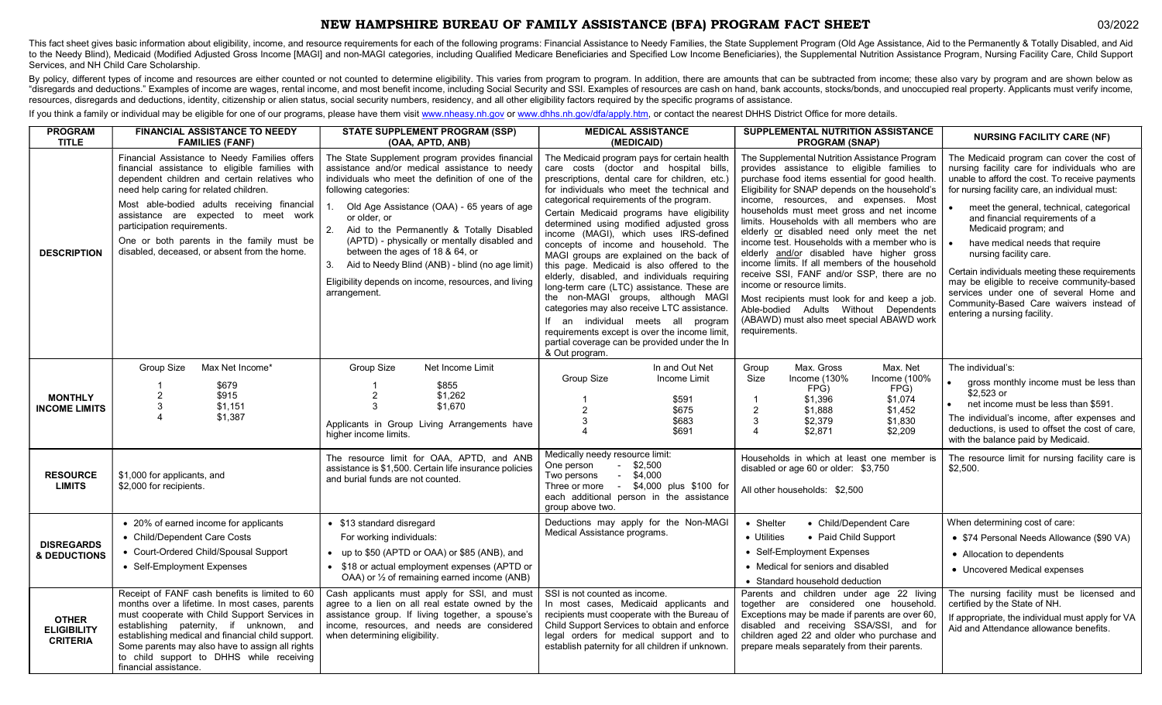## NEW HAMPSHIRE BUREAU OF FAMILY ASSISTANCE (BFA) PROGRAM FACT SHEET 03/2022

This fact sheet gives basic information about eligibility, income, and resource requirements for each of the following programs: Financial Assistance to Needy Families, the State Supplement Program (Old Age Assistance, Aid to the Needy Blind), Medicaid (Modified Adjusted Gross Income [MAGI] and non-MAGI categories, including Qualified Medicare Beneficiaries and Specified Low Income Beneficiaries), the Supplemental Nutrition Assistance Progra Services, and NH Child Care Scholarship.

By policy, different types of income and resources are either counted or not counted to determine eligibility. This varies from program to program. In addition, there are amounts that can be subtracted from income; these a "disregards and deductions." Examples of income are wages, rental income, and most benefit income, including Social Security and SSI. Examples of resources are cash on hand, bank accounts, stocks/bonds, and unoccupied real resources, disregards and deductions, identity, citizenship or alien status, social security numbers, residency, and all other eligibility factors required by the specific programs of assistance.

If you think a family or individual may be eligible for one of our programs, please have them visit www.nheasy.nh.gov or www.dhhs.nh.gov/dfa/apply.htm, or contact the nearest DHHS District Office for more details.

| <b>PROGRAM</b><br><b>TITLE</b>                        | <b>FINANCIAL ASSISTANCE TO NEEDY</b><br><b>FAMILIES (FANF)</b>                                                                                                                                                                                                                                                                                                                                               | <b>STATE SUPPLEMENT PROGRAM (SSP)</b><br>(OAA, APTD, ANB)                                                                                                                                                                                                                                                                                                                                                                                                                                                           | <b>MEDICAL ASSISTANCE</b><br>(MEDICAID)                                                                                                                                                                                                                                                                                                                                                                                                                                                                                                                                                                                                                                                                                                                                                                                                               | SUPPLEMENTAL NUTRITION ASSISTANCE<br><b>PROGRAM (SNAP)</b>                                                                                                                                                                                                                                                                                                                                                                                                                                                                                                                                                                                                                                                                                                              | <b>NURSING FACILITY CARE (NF)</b>                                                                                                                                                                                                                                                                                                                                                                                                                                                                                                                                                         |
|-------------------------------------------------------|--------------------------------------------------------------------------------------------------------------------------------------------------------------------------------------------------------------------------------------------------------------------------------------------------------------------------------------------------------------------------------------------------------------|---------------------------------------------------------------------------------------------------------------------------------------------------------------------------------------------------------------------------------------------------------------------------------------------------------------------------------------------------------------------------------------------------------------------------------------------------------------------------------------------------------------------|-------------------------------------------------------------------------------------------------------------------------------------------------------------------------------------------------------------------------------------------------------------------------------------------------------------------------------------------------------------------------------------------------------------------------------------------------------------------------------------------------------------------------------------------------------------------------------------------------------------------------------------------------------------------------------------------------------------------------------------------------------------------------------------------------------------------------------------------------------|-------------------------------------------------------------------------------------------------------------------------------------------------------------------------------------------------------------------------------------------------------------------------------------------------------------------------------------------------------------------------------------------------------------------------------------------------------------------------------------------------------------------------------------------------------------------------------------------------------------------------------------------------------------------------------------------------------------------------------------------------------------------------|-------------------------------------------------------------------------------------------------------------------------------------------------------------------------------------------------------------------------------------------------------------------------------------------------------------------------------------------------------------------------------------------------------------------------------------------------------------------------------------------------------------------------------------------------------------------------------------------|
| <b>DESCRIPTION</b>                                    | Financial Assistance to Needy Families offers<br>financial assistance to eligible families with<br>dependent children and certain relatives who<br>need help caring for related children.<br>Most able-bodied adults receiving financial<br>assistance are expected to meet work<br>participation requirements.<br>One or both parents in the family must be<br>disabled, deceased, or absent from the home. | The State Supplement program provides financial<br>assistance and/or medical assistance to needy<br>individuals who meet the definition of one of the<br>following categories:<br>Old Age Assistance (OAA) - 65 years of age<br>or older, or<br>2.<br>Aid to the Permanently & Totally Disabled<br>(APTD) - physically or mentally disabled and<br>between the ages of 18 & 64, or<br>Aid to Needy Blind (ANB) - blind (no age limit)<br>3.<br>Eligibility depends on income, resources, and living<br>arrangement. | The Medicaid program pays for certain health<br>care costs (doctor and hospital bills,<br>prescriptions, dental care for children, etc.)<br>for individuals who meet the technical and<br>categorical requirements of the program.<br>Certain Medicaid programs have eligibility<br>determined using modified adjusted gross<br>income (MAGI), which uses IRS-defined<br>concepts of income and household. The<br>MAGI groups are explained on the back of<br>this page. Medicaid is also offered to the<br>elderly, disabled, and individuals requiring<br>long-term care (LTC) assistance. These are<br>the non-MAGI groups, although MAGI<br>categories may also receive LTC assistance.<br>If an individual meets all program<br>requirements except is over the income limit,<br>partial coverage can be provided under the In<br>& Out program. | The Supplemental Nutrition Assistance Program<br>provides assistance to eligible families to<br>purchase food items essential for good health.<br>Eligibility for SNAP depends on the household's<br>income, resources, and expenses. Most<br>households must meet gross and net income<br>limits. Households with all members who are<br>elderly or disabled need only meet the net<br>income test. Households with a member who is<br>elderly and/or disabled have higher gross<br>income limits. If all members of the household<br>receive SSI, FANF and/or SSP, there are no<br>income or resource limits.<br>Most recipients must look for and keep a job.<br>Able-bodied Adults Without Dependents<br>(ABAWD) must also meet special ABAWD work<br>requirements. | The Medicaid program can cover the cost of<br>nursing facility care for individuals who are<br>unable to afford the cost. To receive payments<br>for nursing facility care, an individual must:<br>meet the general, technical, categorical<br>and financial requirements of a<br>Medicaid program; and<br>have medical needs that require<br>nursing facility care.<br>Certain individuals meeting these requirements<br>may be eligible to receive community-based<br>services under one of several Home and<br>Community-Based Care waivers instead of<br>entering a nursing facility. |
| <b>MONTHLY</b><br><b>INCOME LIMITS</b>                | Group Size<br>Max Net Income*<br>\$679<br>\$915<br>2<br>3<br>\$1.151<br>\$1,387                                                                                                                                                                                                                                                                                                                              | Group Size<br>Net Income Limit<br>\$855<br>$\overline{c}$<br>\$1,262<br>3<br>\$1.670<br>Applicants in Group Living Arrangements have<br>higher income limits.                                                                                                                                                                                                                                                                                                                                                       | In and Out Net<br>Group Size<br>Income Limit<br>\$591<br>$\overline{2}$<br>\$675<br>3<br>\$683<br>\$691                                                                                                                                                                                                                                                                                                                                                                                                                                                                                                                                                                                                                                                                                                                                               | Max. Gross<br>Group<br>Max. Net<br>Size<br>Income (130%<br>Income (100%<br>FPG)<br>FPG)<br>\$1,396<br>\$1,074<br>$\overline{2}$<br>\$1,888<br>\$1,452<br>\$2,379<br>3<br>\$1,830<br>\$2,871<br>$\Delta$<br>\$2,209                                                                                                                                                                                                                                                                                                                                                                                                                                                                                                                                                      | The individual's:<br>gross monthly income must be less than<br>\$2.523 or<br>net income must be less than \$591.<br>The individual's income, after expenses and<br>deductions, is used to offset the cost of care.<br>with the balance paid by Medicaid.                                                                                                                                                                                                                                                                                                                                  |
| <b>RESOURCE</b><br><b>LIMITS</b>                      | \$1,000 for applicants, and<br>\$2,000 for recipients.                                                                                                                                                                                                                                                                                                                                                       | The resource limit for OAA, APTD, and ANB<br>assistance is \$1,500. Certain life insurance policies<br>and burial funds are not counted.                                                                                                                                                                                                                                                                                                                                                                            | Medically needy resource limit:<br>One person<br>$-$ \$2,500<br>$-$ \$4,000<br>Two persons<br>Three or more - \$4,000 plus \$100 for<br>each additional person in the assistance<br>group above two.                                                                                                                                                                                                                                                                                                                                                                                                                                                                                                                                                                                                                                                  | Households in which at least one member is<br>disabled or age 60 or older: \$3,750<br>All other households: \$2.500                                                                                                                                                                                                                                                                                                                                                                                                                                                                                                                                                                                                                                                     | The resource limit for nursing facility care is<br>\$2.500.                                                                                                                                                                                                                                                                                                                                                                                                                                                                                                                               |
| <b>DISREGARDS</b><br><b>&amp; DEDUCTIONS</b>          | • 20% of earned income for applicants<br>• Child/Dependent Care Costs<br>• Court-Ordered Child/Spousal Support<br>• Self-Employment Expenses                                                                                                                                                                                                                                                                 | • \$13 standard disregard<br>For working individuals:<br>• up to \$50 (APTD or OAA) or \$85 (ANB), and<br>• \$18 or actual employment expenses (APTD or<br>OAA) or 1/2 of remaining earned income (ANB)                                                                                                                                                                                                                                                                                                             | Deductions may apply for the Non-MAGI<br>Medical Assistance programs.                                                                                                                                                                                                                                                                                                                                                                                                                                                                                                                                                                                                                                                                                                                                                                                 | • Shelter<br>• Child/Dependent Care<br>• Utilities<br>• Paid Child Support<br>• Self-Employment Expenses<br>• Medical for seniors and disabled<br>• Standard household deduction                                                                                                                                                                                                                                                                                                                                                                                                                                                                                                                                                                                        | When determining cost of care:<br>• \$74 Personal Needs Allowance (\$90 VA)<br>• Allocation to dependents<br>• Uncovered Medical expenses                                                                                                                                                                                                                                                                                                                                                                                                                                                 |
| <b>OTHER</b><br><b>ELIGIBILITY</b><br><b>CRITERIA</b> | Receipt of FANF cash benefits is limited to 60<br>months over a lifetime. In most cases, parents<br>must cooperate with Child Support Services in<br>establishing paternity, if unknown, and<br>establishing medical and financial child support.<br>Some parents may also have to assign all rights<br>to child support to DHHS while receiving<br>financial assistance.                                    | Cash applicants must apply for SSI, and must<br>agree to a lien on all real estate owned by the<br>assistance group. If living together, a spouse's<br>income, resources, and needs are considered<br>when determining eligibility.                                                                                                                                                                                                                                                                                 | SSI is not counted as income.<br>In most cases, Medicaid applicants and<br>recipients must cooperate with the Bureau of<br>Child Support Services to obtain and enforce<br>legal orders for medical support and to<br>establish paternity for all children if unknown.                                                                                                                                                                                                                                                                                                                                                                                                                                                                                                                                                                                | Parents and children under age 22 living<br>together are considered one household.<br>Exceptions may be made if parents are over 60,<br>disabled and receiving SSA/SSI, and for<br>children aged 22 and older who purchase and<br>prepare meals separately from their parents.                                                                                                                                                                                                                                                                                                                                                                                                                                                                                          | The nursing facility must be licensed and<br>certified by the State of NH.<br>If appropriate, the individual must apply for VA<br>Aid and Attendance allowance benefits.                                                                                                                                                                                                                                                                                                                                                                                                                  |